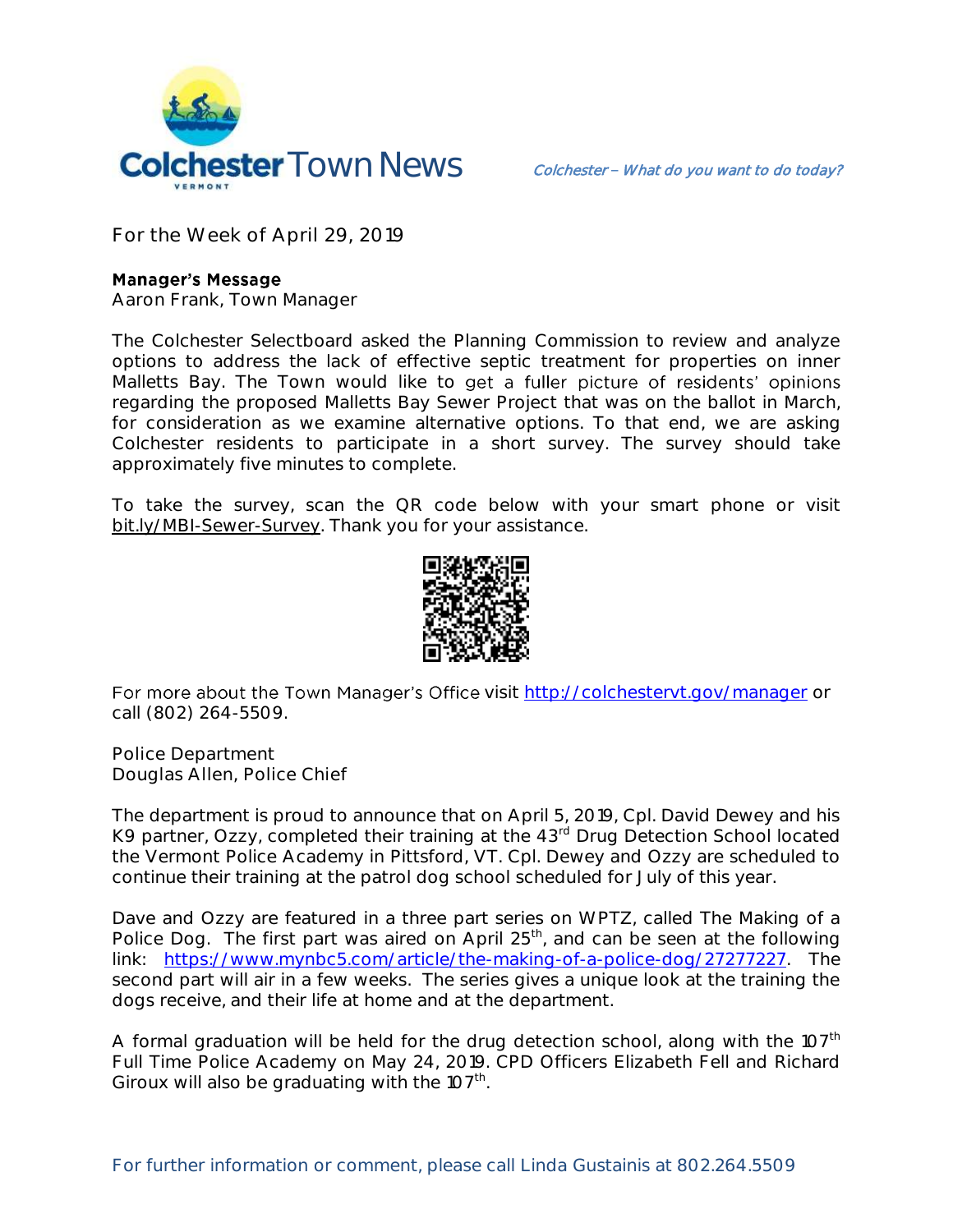

**For the Week of April 29, 2019**

## **Manager's Message**

**Aaron Frank, Town Manager**

The Colchester Selectboard asked the Planning Commission to review and analyze options to address the lack of effective septic treatment for properties on inner Malletts Bay. The Town would like to get a fuller picture of residents' opinions regarding the proposed Malletts Bay Sewer Project that was on the ballot in March, for consideration as we examine alternative options. To that end, we are asking Colchester residents to participate in a short survey. The survey should take approximately five minutes to complete.

To take the survey, scan the QR code below with your smart phone or visit bit.ly/MBI-Sewer-Survey. Thank you for your assistance.



For more about the Town Manager's Office visit<http://colchestervt.gov/manager> or call (802) 264-5509.

**Police Department Douglas Allen, Police Chief**

The department is proud to announce that on April 5, 2019, Cpl. David Dewey and his K9 partner, Ozzy, completed their training at the 43<sup>rd</sup> Drug Detection School located the Vermont Police Academy in Pittsford, VT. Cpl. Dewey and Ozzy are scheduled to continue their training at the patrol dog school scheduled for July of this year.

Dave and Ozzy are featured in a three part series on WPTZ, called The Making of a Police Dog. The first part was aired on April  $25<sup>th</sup>$ , and can be seen at the following link: [https://www.mynbc5.com/article/the-making-of-a-police-dog/27277227.](https://www.mynbc5.com/article/the-making-of-a-police-dog/27277227) The second part will air in a few weeks. The series gives a unique look at the training the dogs receive, and their life at home and at the department.

A formal graduation will be held for the drug detection school, along with the 107<sup>th</sup> Full Time Police Academy on May 24, 2019. CPD Officers Elizabeth Fell and Richard Giroux will also be graduating with the  $107<sup>th</sup>$ .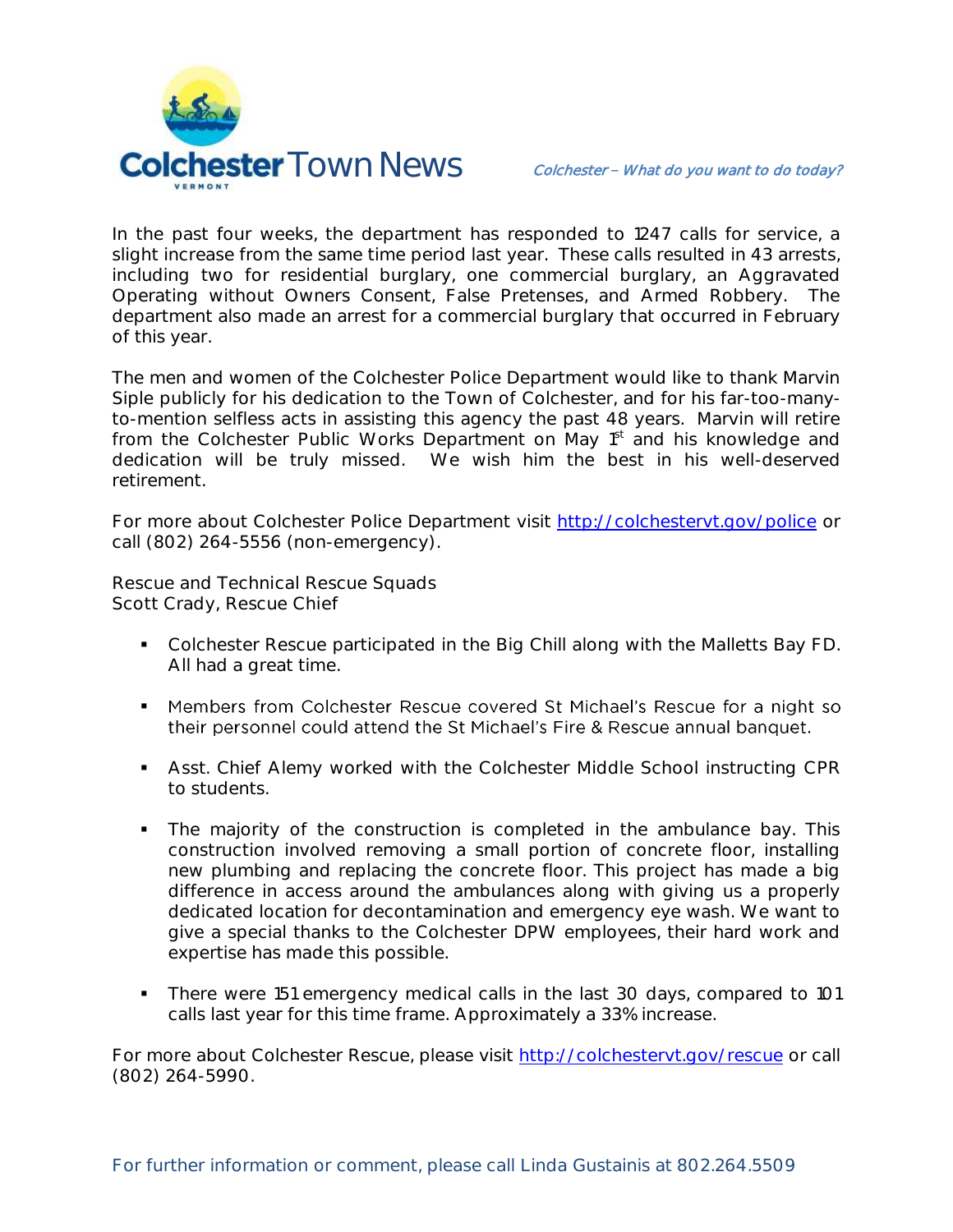

In the past four weeks, the department has responded to 1247 calls for service, a slight increase from the same time period last year. These calls resulted in 43 arrests, including two for residential burglary, one commercial burglary, an Aggravated Operating without Owners Consent, False Pretenses, and Armed Robbery. The department also made an arrest for a commercial burglary that occurred in February of this year.

The men and women of the Colchester Police Department would like to thank Marvin Siple publicly for his dedication to the Town of Colchester, and for his far-too-manyto-mention selfless acts in assisting this agency the past 48 years. Marvin will retire from the Colchester Public Works Department on May 1<sup>st</sup> and his knowledge and dedication will be truly missed. We wish him the best in his well-deserved retirement.

For more about Colchester Police Department visit<http://colchestervt.gov/police> or call (802) 264-5556 (non-emergency).

**Rescue and Technical Rescue Squads Scott Crady, Rescue Chief**

- Colchester Rescue participated in the Big Chill along with the Malletts Bay FD. All had a great time.
- Members from Colchester Rescue covered St Michael's Rescue for a night so their personnel could attend the St Michael's Fire & Rescue annual banquet.
- Asst. Chief Alemy worked with the Colchester Middle School instructing CPR to students.
- The majority of the construction is completed in the ambulance bay. This construction involved removing a small portion of concrete floor, installing new plumbing and replacing the concrete floor. This project has made a big difference in access around the ambulances along with giving us a properly dedicated location for decontamination and emergency eye wash. We want to give a special thanks to the Colchester DPW employees, their hard work and expertise has made this possible.
- There were 151 emergency medical calls in the last 30 days, compared to 101 calls last year for this time frame. Approximately a 33% increase.

For more about Colchester Rescue, please visit [http://colchestervt.gov/rescue](http://colchestervt.gov/rescue/index.shtml) or call (802) 264-5990.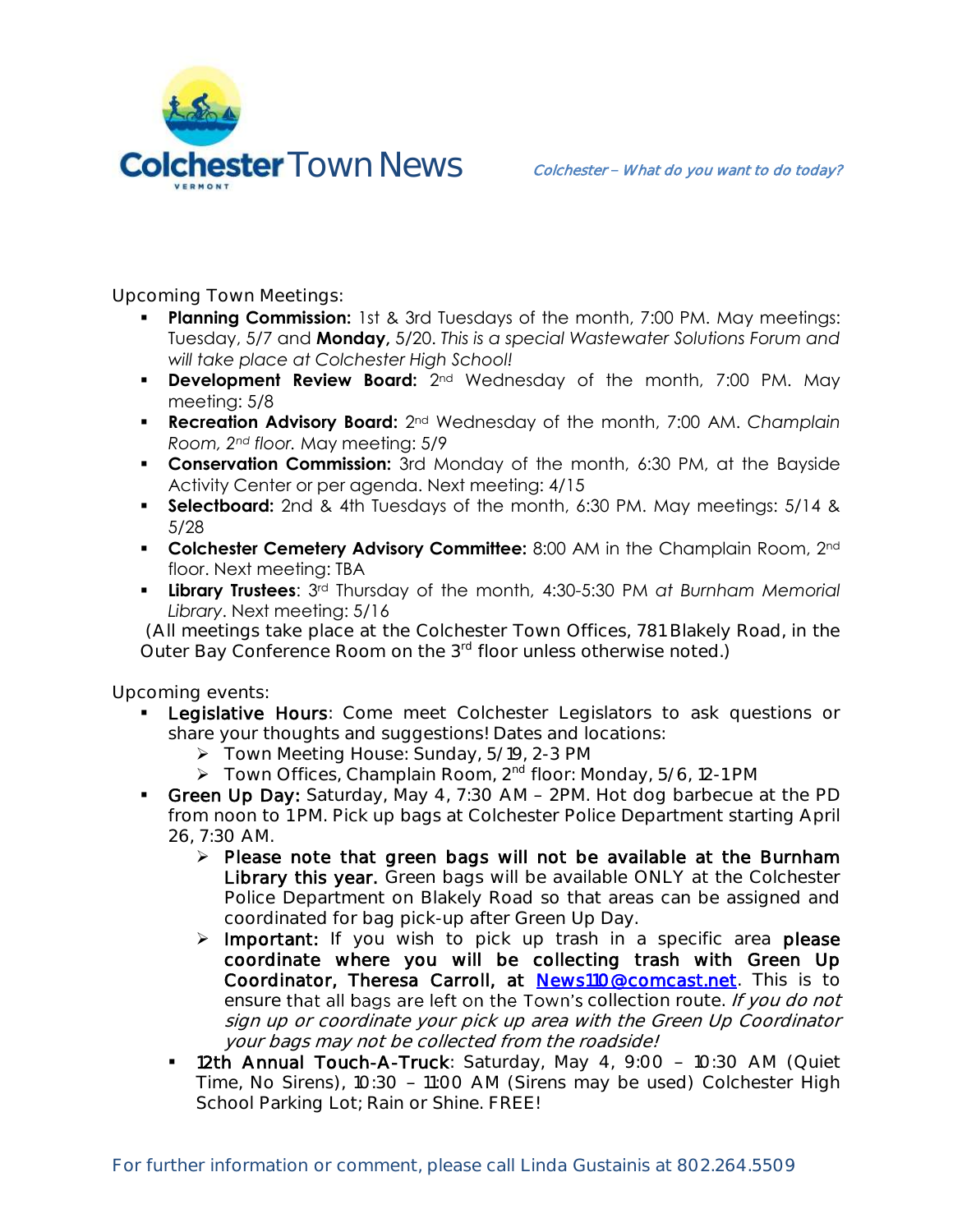

**Upcoming Town Meetings:** 

- **Planning Commission:** 1st & 3rd Tuesdays of the month, 7:00 PM. May meetings: Tuesday, 5/7 and **Monday,** 5/20. *This is a special Wastewater Solutions Forum and will take place at Colchester High School!*
- **Development Review Board:** 2<sup>nd</sup> Wednesday of the month, 7:00 PM. May meeting: 5/8
- **Recreation Advisory Board:** 2nd Wednesday of the month, 7:00 AM. *Champlain Room, 2nd floor.* May meeting: 5/9
- **Conservation Commission:** 3rd Monday of the month, 6:30 PM, at the Bayside Activity Center or per agenda. Next meeting: 4/15
- **Selectboard:** 2nd & 4th Tuesdays of the month, 6:30 PM. May meetings: 5/14 & 5/28
- **Colchester Cemetery Advisory Committee:** 8:00 AM in the Champlain Room, 2<sup>nd</sup> floor. Next meeting: TBA
- **Library Trustees**: 3rd Thursday of the month, 4:30-5:30 PM *at Burnham Memorial Library*. Next meeting: 5/16

(All meetings take place at the Colchester Town Offices, 781 Blakely Road, in the Outer Bay Conference Room on the 3<sup>rd</sup> floor unless otherwise noted.)

**Upcoming events:** 

- **Legislative Hours:** Come meet Colchester Legislators to ask questions or share your thoughts and suggestions! Dates and locations:
	- Town Meeting House: Sunday, 5/19, 2-3 PM
	- $\triangleright$  Town Offices, Champlain Room, 2<sup>nd</sup> floor: Monday, 5/6, 12-1 PM
- Green Up Day: Saturday, May 4, 7:30 AM 2PM. Hot dog barbecue at the PD from noon to 1 PM. Pick up bags at Colchester Police Department starting April 26, 7:30 AM.
	- $\triangleright$  Please note that green bags will not be available at the Burnham Library this year. Green bags will be available ONLY at the Colchester Police Department on Blakely Road so that areas can be assigned and coordinated for bag pick-up after Green Up Day.
	- $\triangleright$  Important: If you wish to pick up trash in a specific area please coordinate where you will be collecting trash with Green Up Coordinator, Theresa Carroll, at [News110@comcast.net.](mailto:News110@comcast.net) This is to ensure that all bags are left on the Town's collection route. If you do not sign up or coordinate your pick up area with the Green Up Coordinator your bags may not be collected from the roadside!
	- 12th Annual Touch-A-Truck: Saturday, May 4, 9:00 10:30 AM (Quiet Time, No Sirens), 10:30 - 11:00 AM (Sirens may be used) Colchester High School Parking Lot; Rain or Shine. FREE!